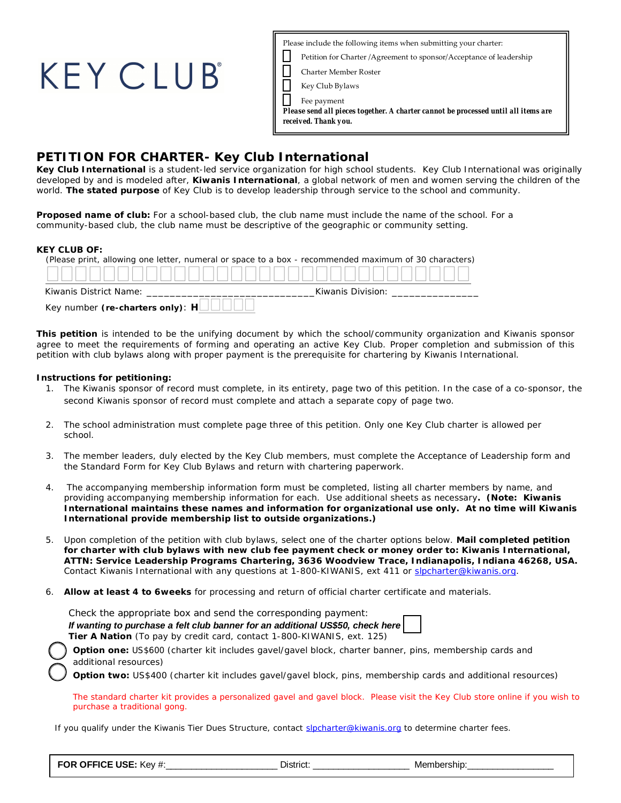| Please include the following items when submitting your charter:                                           |
|------------------------------------------------------------------------------------------------------------|
| Petition for Charter / Agreement to sponsor/ Acceptance of leadership                                      |
| <b>Charter Member Roster</b>                                                                               |
| Key Club Bylaws                                                                                            |
| Fee payment                                                                                                |
| Please send all pieces together. A charter cannot be processed until all items are<br>received. Thank you. |
|                                                                                                            |

## **PETITION FOR CHARTER- Key Club International**

**Key Club International** is a student-led service organization for high school students. Key Club International was originally developed by and is modeled after, **Kiwanis International**, a global network of men and women serving the children of the world. **The stated purpose** of Key Club is to develop leadership through service to the school and community.

**Proposed name of club:** For a school-based club, the club name must include the name of the school. For a community-based club, the club name must be descriptive of the geographic or community setting.

#### **KEY CLUB OF:**

| (Please print, allowing one letter, numeral or space to a box - recommended maximum of 30 characters)             |                                    |
|-------------------------------------------------------------------------------------------------------------------|------------------------------------|
|                                                                                                                   |                                    |
| Kiwanis District Name: Name and Allen and Allen and Allen and Allen and Allen and Allen and Allen and Allen and A | Kiwanis Division: North March 1999 |
|                                                                                                                   |                                    |

**This petition** is intended to be the unifying document by which the school/community organization and Kiwanis sponsor agree to meet the requirements of forming and operating an active Key Club. Proper completion and submission of this petition with club bylaws along with proper payment is the prerequisite for chartering by Kiwanis International.

#### **Instructions for petitioning:**

**KEY CLUB** 

- 1. The Kiwanis sponsor of record must complete, in its entirety, page two of this petition. In the case of a co-sponsor, the second Kiwanis sponsor of record must complete and attach a separate copy of page two.
- 2. The school administration must complete page three of this petition. Only one Key Club charter is allowed per school.
- 3. The member leaders, duly elected by the Key Club members, must complete the Acceptance of Leadership form and the Standard Form for Key Club Bylaws and return with chartering paperwork.
- 4. The accompanying membership information form must be completed, listing all charter members by name, and providing accompanying membership information for each. Use additional sheets as necessary**. (Note: Kiwanis International maintains these names and information for organizational use only. At no time will Kiwanis International provide membership list to outside organizations.)**
- 5. Upon completion of the petition with club bylaws, select one of the charter options below. **Mail completed petition for charter with club bylaws with new club fee payment check or money order to: Kiwanis International, ATTN: Service Leadership Programs Chartering, 3636 Woodview Trace, Indianapolis, Indiana 46268, USA.** Contact Kiwanis International with any questions at 1-800-KIWANIS, ext 411 or slpcharter@kiwanis.org.
- 6. **Allow at least 4 to 6weeks** for processing and return of official charter certificate and materials.

| Check the appropriate box and send the corresponding payment:                  |  |
|--------------------------------------------------------------------------------|--|
| If wanting to purchase a felt club banner for an additional US\$50, check here |  |
| Tier A Nation (To pay by credit card, contact 1-800-KIWANIS, ext. 125)         |  |

**Option one:** US\$600 (charter kit includes gavel/gavel block, charter banner, pins, membership cards and additional resources)

Option two: US\$400 (charter kit includes gavel/gavel block, pins, membership cards and additional resources)

The standard charter kit provides a personalized gavel and gavel block. Please visit the Key Club store online if you wish to purchase a traditional gong.

If you qualify under the Kiwanis Tier Dues Structure, contact slpcharter@kiwanis.org to determine charter fees.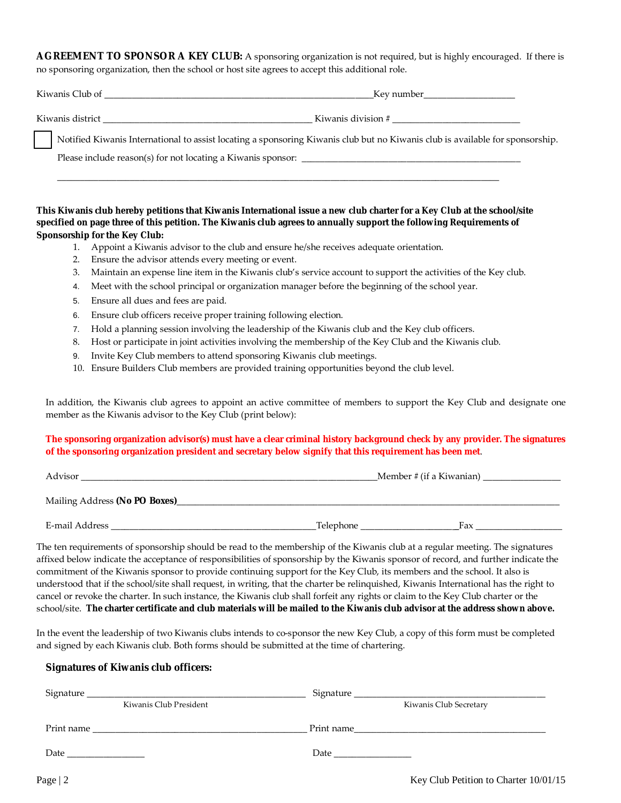**AGREEMENT TO SPONSOR A KEY CLUB:** A sponsoring organization is not required, but is highly encouraged. If there is no sponsoring organization, then the school or host site agrees to accept this additional role.

| Kiwanis Club of  | Kev number         |
|------------------|--------------------|
| Kiwanis district | Kiwanis division # |

Notified Kiwanis International to assist locating a sponsoring Kiwanis club but no Kiwanis club is available for sponsorship.

Please include reason(s) for not locating a Kiwanis sponsor:

**This Kiwanis club hereby petitions that Kiwanis International issue a new club charter for a Key Club at the school/site specified on page three of this petition. The Kiwanis club agrees to annually support the following Requirements of Sponsorship for the Key Club:** 

 $\overline{\phantom{a}}$  , and the contribution of the contribution of the contribution of the contribution of the contribution of the contribution of the contribution of the contribution of the contribution of the contribution of the

- 1. Appoint a Kiwanis advisor to the club and ensure he/she receives adequate orientation.
- 2. Ensure the advisor attends every meeting or event.
- 3. Maintain an expense line item in the Kiwanis club's service account to support the activities of the Key club.
- 4. Meet with the school principal or organization manager before the beginning of the school year.
- 5. Ensure all dues and fees are paid.
- 6. Ensure club officers receive proper training following election.
- 7. Hold a planning session involving the leadership of the Kiwanis club and the Key club officers.
- 8. Host or participate in joint activities involving the membership of the Key Club and the Kiwanis club.
- 9. Invite Key Club members to attend sponsoring Kiwanis club meetings.
- 10. Ensure Builders Club members are provided training opportunities beyond the club level.

In addition, the Kiwanis club agrees to appoint an active committee of members to support the Key Club and designate one member as the Kiwanis advisor to the Key Club (print below):

#### **The sponsoring organization advisor(s) must have a clear criminal history background check by any provider. The signatures of the sponsoring organization president and secretary below signify that this requirement has been met**.

| Advisor                       |           | Member # (if a Kiwanian) |  |
|-------------------------------|-----------|--------------------------|--|
| Mailing Address (No PO Boxes) |           |                          |  |
| E-mail Address                | Telephone | Fax                      |  |

The ten requirements of sponsorship should be read to the membership of the Kiwanis club at a regular meeting. The signatures affixed below indicate the acceptance of responsibilities of sponsorship by the Kiwanis sponsor of record, and further indicate the commitment of the Kiwanis sponsor to provide continuing support for the Key Club, its members and the school. It also is understood that if the school/site shall request, in writing, that the charter be relinquished, Kiwanis International has the right to cancel or revoke the charter. In such instance, the Kiwanis club shall forfeit any rights or claim to the Key Club charter or the school/site. **The charter certificate and club materials will be mailed to the Kiwanis club advisor at the address shown above.**

In the event the leadership of two Kiwanis clubs intends to co-sponsor the new Key Club, a copy of this form must be completed and signed by each Kiwanis club. Both forms should be submitted at the time of chartering.

#### **Signatures of Kiwanis club officers:**

| Kiwanis Club President |                                                                                                                                                                                                                               | Kiwanis Club Secretary                |  |  |
|------------------------|-------------------------------------------------------------------------------------------------------------------------------------------------------------------------------------------------------------------------------|---------------------------------------|--|--|
|                        |                                                                                                                                                                                                                               | Print name                            |  |  |
|                        | Date and the same state of the state of the state of the state of the state of the state of the state of the state of the state of the state of the state of the state of the state of the state of the state of the state of |                                       |  |  |
| Page $ 2$              |                                                                                                                                                                                                                               | Key Club Petition to Charter 10/01/15 |  |  |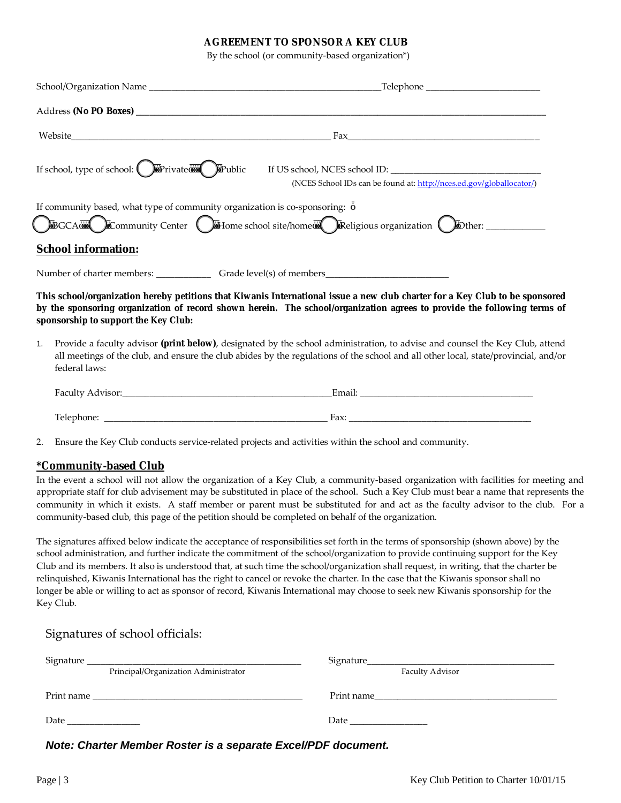#### **AGREEMENT TO SPONSOR A KEY CLUB**

By the school (or community-based organization\*)

|    | $\text{Fax}$                                                                                                                                                                                                                                                                                    |
|----|-------------------------------------------------------------------------------------------------------------------------------------------------------------------------------------------------------------------------------------------------------------------------------------------------|
|    | If school, type of school: Private (D) Public If US school, NCES school ID:<br>(NCES School IDs can be found at: http://nces.ed.gov/globallocator/)                                                                                                                                             |
|    | If community based, what type of community organization is co-sponsoring:                                                                                                                                                                                                                       |
|    | <b>School information:</b>                                                                                                                                                                                                                                                                      |
|    |                                                                                                                                                                                                                                                                                                 |
|    | This school/organization hereby petitions that Kiwanis International issue a new club charter for a Key Club to be sponsored<br>by the sponsoring organization of record shown herein. The school/organization agrees to provide the following terms of<br>sponsorship to support the Key Club: |
| 1. | Provide a faculty advisor (print below), designated by the school administration, to advise and counsel the Key Club, attend<br>all meetings of the club, and ensure the club abides by the regulations of the school and all other local, state/provincial, and/or<br>federal laws:            |
|    |                                                                                                                                                                                                                                                                                                 |
|    |                                                                                                                                                                                                                                                                                                 |
| 2. | Ensure the Key Club conducts service-related projects and activities within the school and community.                                                                                                                                                                                           |
|    | *Community-based Club                                                                                                                                                                                                                                                                           |
|    | In the event a school will not allow the organization of a Key Club, a community-based organization with facilities for meeting and<br>appropriate staff for club advisement may be substituted in place of the school. Such a Key Club must bear a name that represents the                    |
|    | community in which it exists. A staff member or parent must be substituted for and act as the faculty advisor to the club. For a                                                                                                                                                                |

The signatures affixed below indicate the acceptance of responsibilities set forth in the terms of sponsorship (shown above) by the school administration, and further indicate the commitment of the school/organization to provide continuing support for the Key Club and its members. It also is understood that, at such time the school/organization shall request, in writing, that the charter be relinquished, Kiwanis International has the right to cancel or revoke the charter. In the case that the Kiwanis sponsor shall no longer be able or willing to act as sponsor of record, Kiwanis International may choose to seek new Kiwanis sponsorship for the Key Club.

| Signature<br>Principal/Organization Administrator    | Faculty Advisor                                           |
|------------------------------------------------------|-----------------------------------------------------------|
| Print name                                           | Print name                                                |
| <u> 1980 - Jan Barnett, fransk politik (d. 1980)</u> | <u> 1980 - John Stone, Amerikaansk politiker (* 1900)</u> |
| Date                                                 | Date                                                      |
|                                                      |                                                           |

*Note: Charter Member Roster is a separate Excel/PDF document.*

community-based club, this page of the petition should be completed on behalf of the organization.

Signatures of school officials: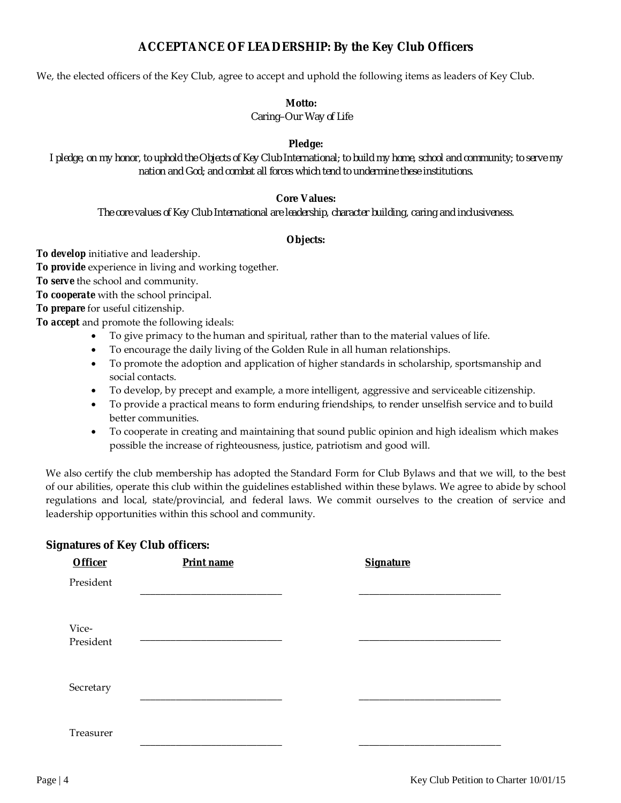## **ACCEPTANCE OF LEADERSHIP: By the Key Club Officers**

We, the elected officers of the Key Club, agree to accept and uphold the following items as leaders of Key Club.

#### **Motto:**

*Caring–Our Way of Life* 

#### **Pledge:**

*I pledge, on my honor, to uphold the Objects of Key Club International; to build my home, school and community; to serve my nation and God; and combat all forces which tend to undermine these institutions.* 

#### **Core Values:**

*The core values of Key Club International are leadership, character building, caring and inclusiveness.* 

#### **Objects:**

*To develop* initiative and leadership.

*To provide* experience in living and working together.

*To serve* the school and community.

*To cooperate* with the school principal.

*To prepare* for useful citizenship.

*To accept* and promote the following ideals:

- To give primacy to the human and spiritual, rather than to the material values of life.
- To encourage the daily living of the Golden Rule in all human relationships.
- To promote the adoption and application of higher standards in scholarship, sportsmanship and social contacts.
- To develop, by precept and example, a more intelligent, aggressive and serviceable citizenship.
- To provide a practical means to form enduring friendships, to render unselfish service and to build better communities.
- To cooperate in creating and maintaining that sound public opinion and high idealism which makes possible the increase of righteousness, justice, patriotism and good will.

We also certify the club membership has adopted the Standard Form for Club Bylaws and that we will, to the best of our abilities, operate this club within the guidelines established within these bylaws. We agree to abide by school regulations and local, state/provincial, and federal laws. We commit ourselves to the creation of service and leadership opportunities within this school and community.

### **Signatures of Key Club officers:**

| <b>Officer</b>     | Print name | <b>Signature</b> |
|--------------------|------------|------------------|
| President          |            |                  |
|                    |            |                  |
| Vice-<br>President |            |                  |
| Secretary          |            |                  |
| Treasurer          |            |                  |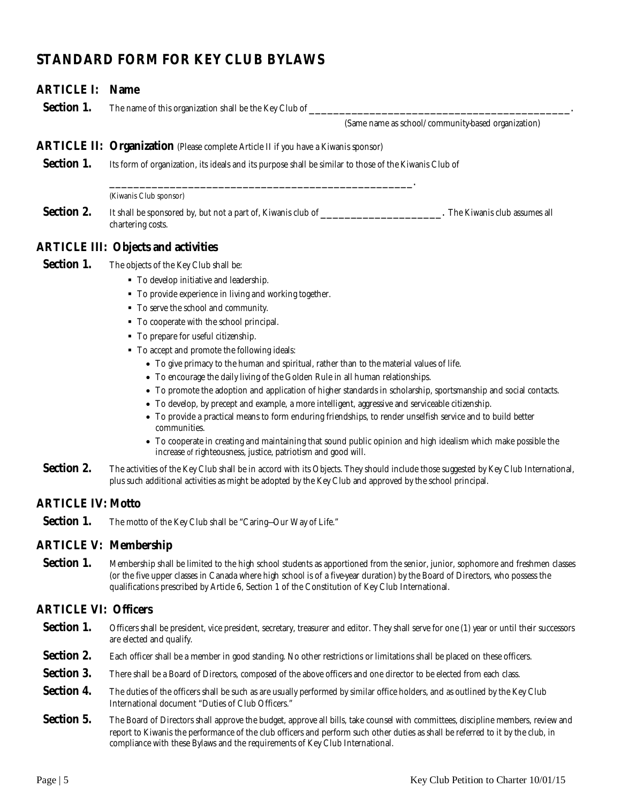# **STANDARD FORM FOR KEY CLUB BYLAWS**

# **ARTICLE I: Name Section 1.** The name of this organization shall be the Key Club of \_\_\_\_\_\_\_\_\_\_\_\_\_ (Same name as school/community-based organization) **ARTICLE II: Organization** (Please complete Article II if you have a Kiwanis sponsor) **Section 1.** Its form of organization, its ideals and its purpose shall be similar to those of the Kiwanis Club of \_\_\_\_\_\_\_\_\_\_\_\_\_\_\_\_\_\_\_\_\_\_\_\_\_\_\_\_\_\_\_\_\_\_\_\_\_\_\_\_\_\_\_\_\_\_\_\_\_\_. (Kiwanis Club sponsor) **Section 2.** It shall be sponsored by, but not a part of, Kiwanis club of \_\_\_\_\_\_\_\_\_\_\_\_\_\_\_\_\_\_\_\_\_\_\_\_\_. The Kiwanis club assumes all chartering costs. **ARTICLE III: Objects and activities Section 1.** The objects of the Key Club shall be:  $\blacksquare$  To develop initiative and leadership. To provide experience in living and working together.  $\blacksquare$  To serve the school and community. To cooperate with the school principal.  $\blacksquare$  To prepare for useful citizenship. ■ To accept and promote the following ideals: To give primacy to the human and spiritual, rather than to the material values of life. To encourage the daily living of the Golden Rule in all human relationships. To promote the adoption and application of higher standards in scholarship, sportsmanship and social contacts. To develop, by precept and example, a more intelligent, aggressive and serviceable citizenship. To provide a practical means to form enduring friendships, to render unselfish service and to build better communities. To cooperate in creating and maintaining that sound public opinion and high idealism which make possible the increase of righteousness, justice, patriotism and good will. Section 2. The activities of the Key Club shall be in accord with its Objects. They should include those suggested by Key Club International, plus such additional activities as might be adopted by the Key Club and approved by the school principal. **ARTICLE IV: Motto Section 1.** The motto of the Key Club shall be "Caring-Our Way of Life." **ARTICLE V: Membership**  Section 1. Membership shall be limited to the high school students as apportioned from the senior, junior, sophomore and freshmen classes (or the five upper classes in Canada where high school is of a five-year duration) by the Board of Directors, who possess the qualifications prescribed by Article 6, Section 1 of the Constitution of Key Club International. **ARTICLE VI: Officers**  Section 1. Officers shall be president, vice president, secretary, treasurer and editor. They shall serve for one (1) year or until their successors are elected and qualify. Section 2. Each officer shall be a member in good standing. No other restrictions or limitations shall be placed on these officers. Section 3. There shall be a Board of Directors, composed of the above officers and one director to be elected from each class.

- Section 4. The duties of the officers shall be such as are usually performed by similar office holders, and as outlined by the Key Club International document "Duties of Club Officers."
- Section 5. The Board of Directors shall approve the budget, approve all bills, take counsel with committees, discipline members, review and report to Kiwanis the performance of the club officers and perform such other duties as shall be referred to it by the club, in compliance with these Bylaws and the requirements of Key Club International.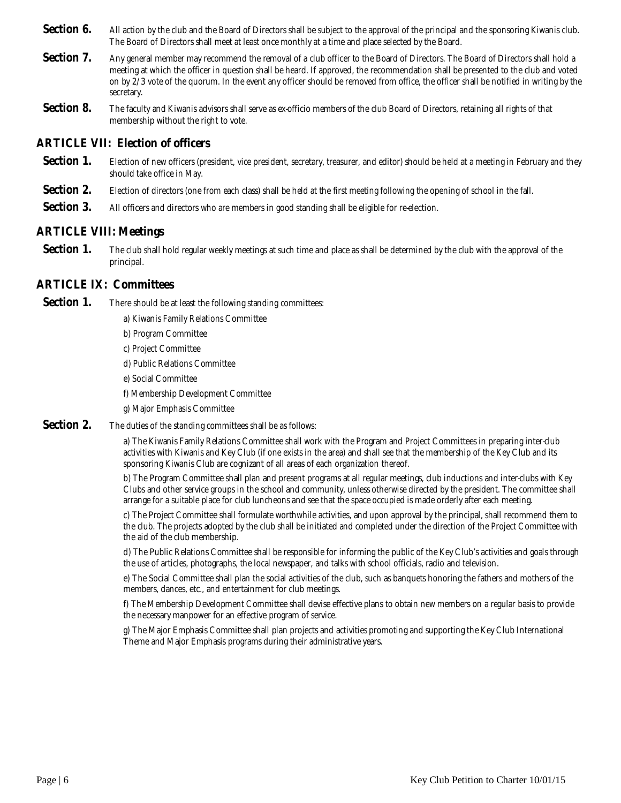- Section 6. All action by the club and the Board of Directors shall be subject to the approval of the principal and the sponsoring Kiwanis club. The Board of Directors shall meet at least once monthly at a time and place selected by the Board.
- **Section 7.** Any general member may recommend the removal of a club officer to the Board of Directors. The Board of Directors shall hold a meeting at which the officer in question shall be heard. If approved, the recommendation shall be presented to the club and voted on by 2/3 vote of the quorum. In the event any officer should be removed from office, the officer shall be notified in writing by the secretary.
- **Section 8.** The faculty and Kiwanis advisors shall serve as ex-officio members of the club Board of Directors, retaining all rights of that membership without the right to vote.

#### **ARTICLE VII: Election of officers**

- Section 1. Election of new officers (president, vice president, secretary, treasurer, and editor) should be held at a meeting in February and they should take office in May.
- Section 2. Election of directors (one from each class) shall be held at the first meeting following the opening of school in the fall.
- **Section 3.** All officers and directors who are members in good standing shall be eligible for re-election.

### **ARTICLE VIII: Meetings**

**Section 1.** The club shall hold regular weekly meetings at such time and place as shall be determined by the club with the approval of the principal.

## **ARTICLE IX: Committees**

- **Section 1.** There should be at least the following standing committees:
	- a) Kiwanis Family Relations Committee
	- b) Program Committee
	- c) Project Committee
	- d) Public Relations Committee
	- e) Social Committee
	- f) Membership Development Committee
	- g) Major Emphasis Committee
- **Section 2.** The duties of the standing committees shall be as follows:

a) The Kiwanis Family Relations Committee shall work with the Program and Project Committees in preparing inter-club activities with Kiwanis and Key Club (if one exists in the area) and shall see that the membership of the Key Club and its sponsoring Kiwanis Club are cognizant of all areas of each organization thereof.

b) The Program Committee shall plan and present programs at all regular meetings, club inductions and inter-clubs with Key Clubs and other service groups in the school and community, unless otherwise directed by the president. The committee shall arrange for a suitable place for club luncheons and see that the space occupied is made orderly after each meeting.

c) The Project Committee shall formulate worthwhile activities, and upon approval by the principal, shall recommend them to the club. The projects adopted by the club shall be initiated and completed under the direction of the Project Committee with the aid of the club membership.

d) The Public Relations Committee shall be responsible for informing the public of the Key Club's activities and goals through the use of articles, photographs, the local newspaper, and talks with school officials, radio and television.

e) The Social Committee shall plan the social activities of the club, such as banquets honoring the fathers and mothers of the members, dances, etc., and entertainment for club meetings.

f) The Membership Development Committee shall devise effective plans to obtain new members on a regular basis to provide the necessary manpower for an effective program of service.

g) The Major Emphasis Committee shall plan projects and activities promoting and supporting the Key Club International Theme and Major Emphasis programs during their administrative years.